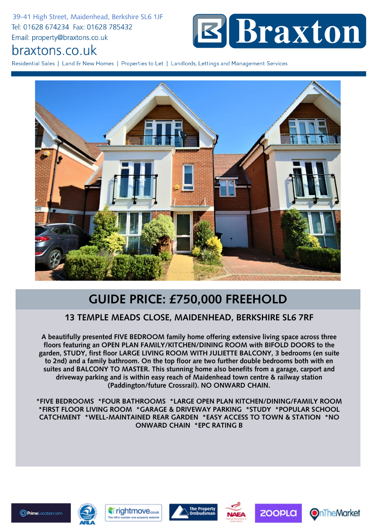39-41 High Street, Maidenhead, Berkshire SL6 1JF Tel: 01628 674234 Fax: 01628 785432 Email: property@braxtons.co.uk



## braxtons.co.uk

Residential Sales | Land & New Homes | Properties to Let | Landlords, Lettings and Management Services



## **GUIDE PRICE: £750,000 FREEHOLD**

## **13 TEMPLE MEADS CLOSE, MAIDENHEAD, BERKSHIRE SL6 7RF**

**A beautifully presented FIVE BEDROOM family home offering extensive living space across three floors featuring an OPEN PLAN FAMILY/KITCHEN/DINING ROOM with BIFOLD DOORS to the garden, STUDY, first floor LARGE LIVING ROOM WITH JULIETTE BALCONY, 3 bedrooms (en suite to 2nd) and a family bathroom. On the top floor are two further double bedrooms both with en suites and BALCONY TO MASTER. This stunning home also benefits from a garage, carport and driveway parking and is within easy reach of Maidenhead town centre & railway station (Paddington/future Crossrail). NO ONWARD CHAIN.**

**\*FIVE BEDROOMS \*FOUR BATHROOMS \*LARGE OPEN PLAN KITCHEN/DINING/FAMILY ROOM \*FIRST FLOOR LIVING ROOM \*GARAGE & DRIVEWAY PARKING \*STUDY \*POPULAR SCHOOL CATCHMENT \*WELL-MAINTAINED REAR GARDEN \*EASY ACCESS TO TOWN & STATION \*NO ONWARD CHAIN \*EPC RATING B**









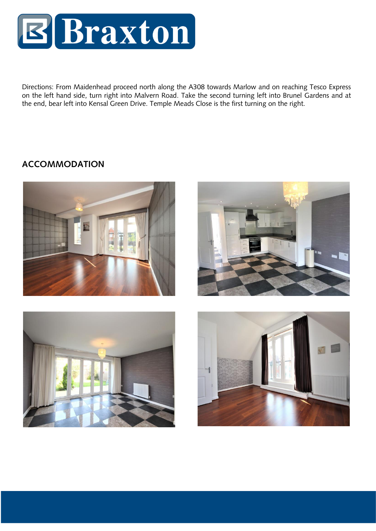

Directions: From Maidenhead proceed north along the A308 towards Marlow and on reaching Tesco Express on the left hand side, turn right into Malvern Road. Take the second turning left into Brunel Gardens and at the end, bear left into Kensal Green Drive. Temple Meads Close is the first turning on the right.

## **ACCOMMODATION**







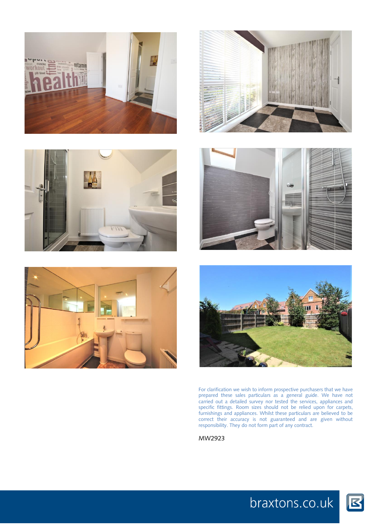











For clarification we wish to inform prospective purchasers that we have prepared these sales particulars as a general guide. We have not carried out a detailed survey nor tested the services, appliances and specific fittings. Room sizes should not be relied upon for carpets, furnishings and appliances. Whilst these particulars are believed to be correct their accuracy is not guaranteed and are given without responsibility. They do not form part of any contract.

MW2923